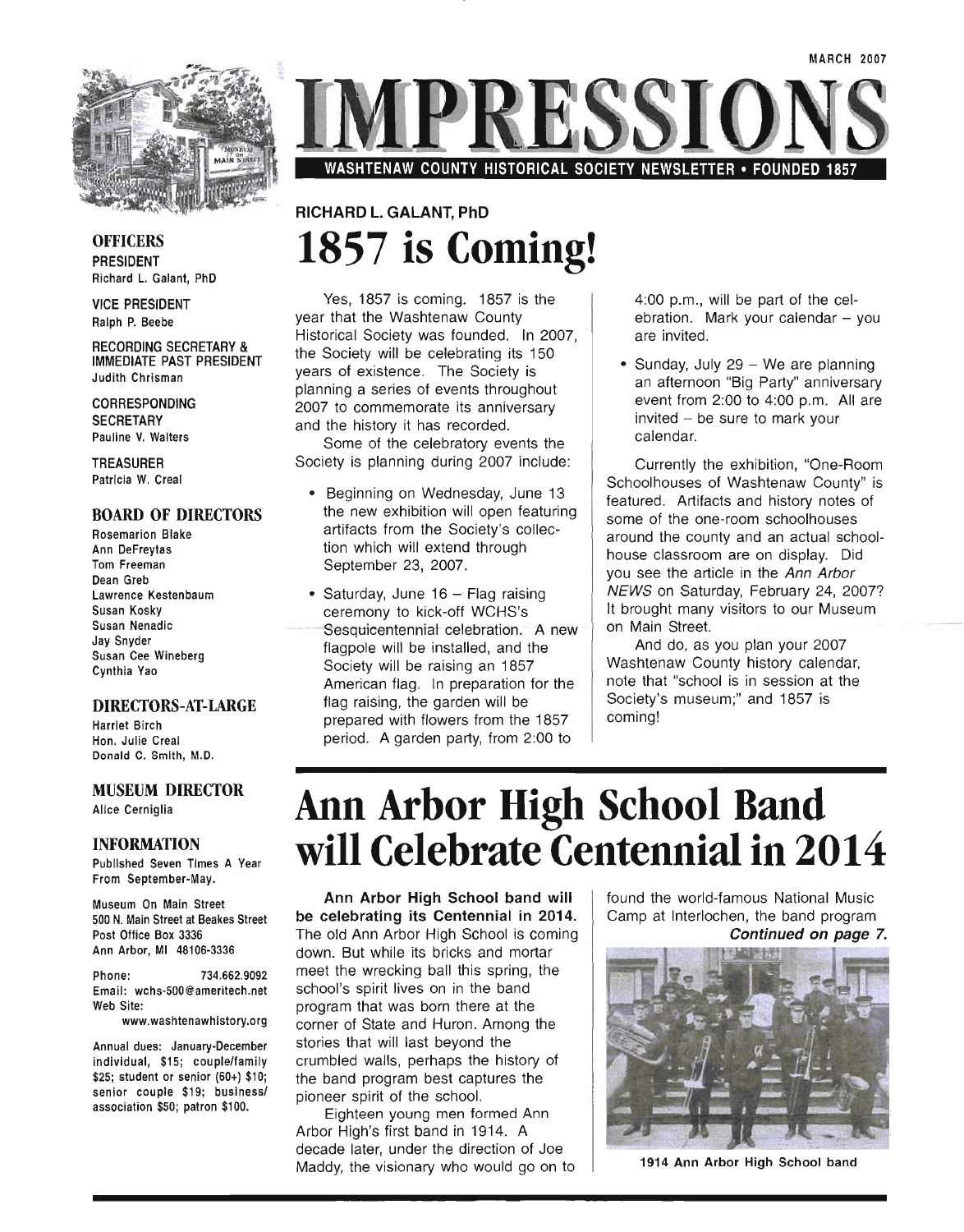

WASHTENAW COUNTY HISTORICAL SOCIETY NEWSLETTER • FOUNDED 1857

## RICHARD L. GALANT, PhD **1857 is Coming!**

Yes, 1857 is coming. 1857 is the year that the Washtenaw County Historical Society was founded. In 2007, the Society will be celebrating its 150 years of existence. The Society is planning a series of events throughout 2007 to commemorate its anniversary and the history it has recorded.

Some of the celebratory events the Society is planning during 2007 include:

- Beginning on Wednesday, June 13 the new exhibition will open featuring artifacts from the Society's collection which will extend through September 23, 2007.
- Saturday, June 16 Flag raising ceremony to kick-off WCHS's Sesquicentennial celebration. A new flagpole will be installed, and the Society will be raising an 1857 American flag. In preparation for the flag raising, the garden will be prepared with flowers from the 1857 period. A garden party, from 2:00 to

4:00 p.m., will be part of the celebration. Mark your calendar  $-$  you are invited.

• Sunday, July 29 - We are planning an afternoon "Big Party" anniversary event from 2:00 to 4:00 p.m. All are  $invited - be sure to mark your$ calendar.

Currently the exhibition, "One-Room Schoolhouses of Washtenaw County" is featured. Artifacts and history notes of some of the one-room schoolhouses around the county and an actual schoolhouse classroom are on display. Did you see the article in the Ann Arbor NEWS on Saturday, February 24, 2007? It brought many visitors to our Museum on Main Street.

And do, as you plan your 2007 Washtenaw County history calendar, note that "school is in session at the Society's museum;" and 1857 is coming!

# **Ann Arbor High School Band will Celebrate Centennial in 2014**

Ann Arbor High School band will be celebrating its Centennial in 2014. The old Ann Arbor High School is coming down. But while its bricks and mortar meet the wrecking ball this spring, the school's spirit lives on in the band program that was born there at the corner of State and Huron. Among the stories that will last beyond the crumbled walls, perhaps the history of the band program best captures the pioneer spirit of the school.

Eighteen young men formed Ann Arbor High's first band in 1914. A decade later, under the direction of Joe Maddy, the visionary who would go on to found the world-famous National Music Camp at Interlochen, the band program Continued on page 7.



1914 Ann Arbor High School band

### **OFFICERS** PRESIDENT Richard L. Galant, PhD

VICE PRESIDENT Ralph P. Beebe

#### RECORDING SECRETARY & IMMEDIATE PAST PRESIDENT Judith Chrisman

CORRESPONDING **SECRETARY** Pauline V. Walters

TREASURER Patricia W. Creal

### BOARD OF DIRECTORS

Rosemarion Blake Ann DeFreytas Tom Freeman Dean Greb Lawrence Kestenbaum Susan Kosky Susan Nenadic Jay Snyder Susan Cee Wineberg Cynthia Yao

### DIRECTORS-AT-LARGE

Harriet Birch Hon. Julie Creal Donald C. Smith, M.D.

### MUSEUM DIRECTOR

Alice Cerniglia

### INFORMATION

Published Seven Times A Year From September-May.

Museum On Main Street 500 N. Main Street at Beakes Street Post Office Box 3336 Ann Arbor, MI 48106-3336

Phone: 734.662.9092 Email: wchs-SOO@ameritech.net Web Site:

www.washtenawhistory.org

Annual dues: January-December individual, \$15; couple/family \$25; student or senior (60+) \$10; senior couple \$19; business! association \$50; patron \$100.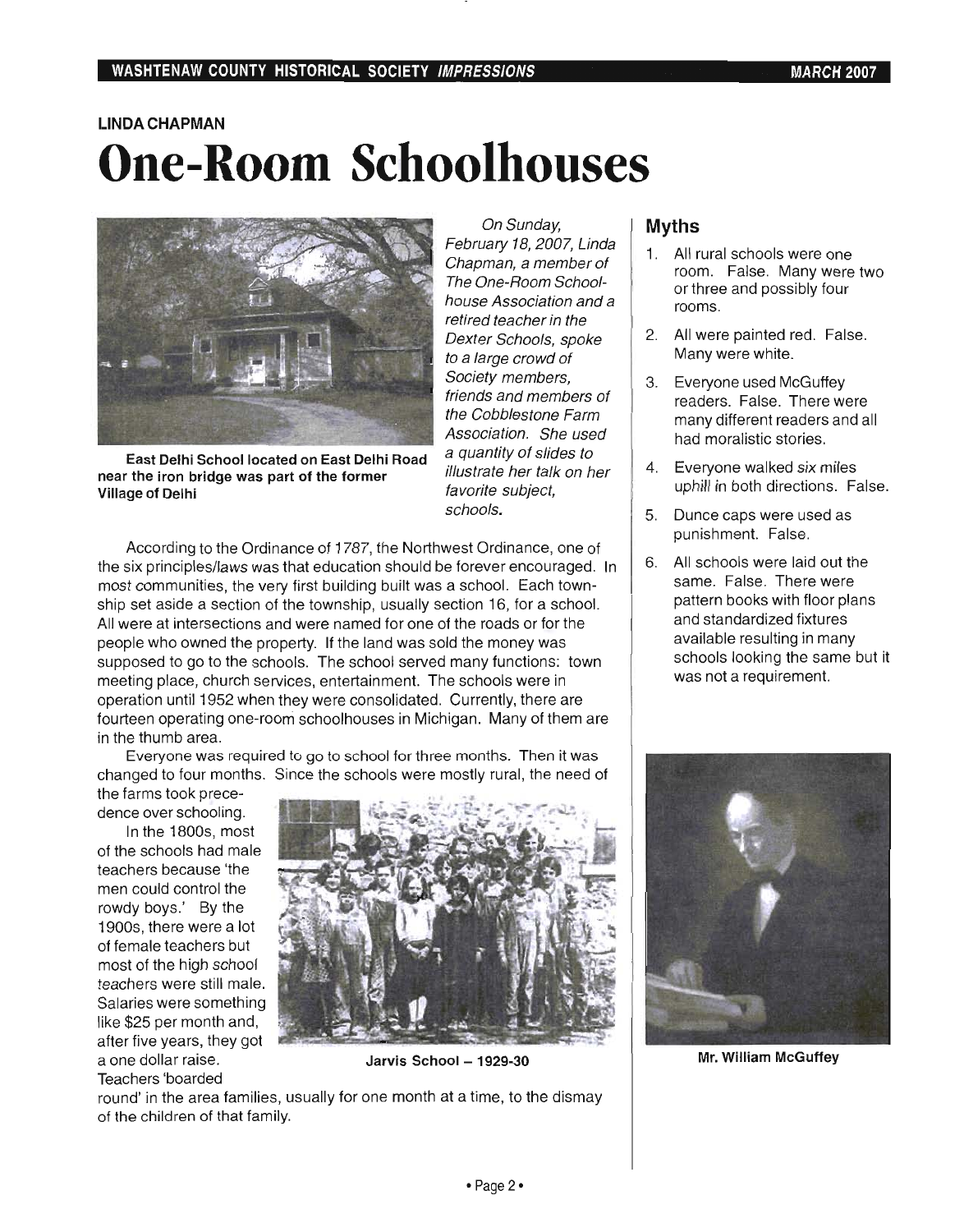## **LINDA CHAPMAN One-Room Schoolhouses**



East Delhi School located on East Delhi Road near the iron bridge was part of the former Village of Delhi

On Sunday, February 18, 2007, Linda Chapman, a member of The One-Room Schoolhouse Association and a retired teacher in the Dexter Schools, spoke to a large crowd of Society members, friends and members of the Cobblestone Farm Association. She used a quantity of slides to illustrate her talk on her favorite subject, schools.

According to the Ordinance of 1787, the Northwest Ordinance, one of the six principles/laws was that education should be forever encouraged. In most communities, the very first building built was a school. Each township set aside a section of the township, usually section 16, for a school. All were at intersections and were named for one of the roads or for the people who owned the property. If the land was sold the money was supposed to go to the schools. The school served many functions: town meeting place, church services, entertainment. The schools were in operation until 1952 when they were consolidated. Currently, there are fourteen operating one-room schoolhouses in Michigan. Many of them are in the thumb area.

Everyone was required to go to school for three months. Then it was changed to four months. Since the schools were mostly rural, the need of

the farms took precedence over schooling.

In the 1800s, most of the schools had male teachers because 'the men could control the rowdy boys.' By the 1900s, there were a lot of female teachers but most of the high school teachers were still male. Salaries were something like \$25 per month and, after five years, they got a one dollar raise. Teachers 'boarded



Jarvis School - 1929-30

round' in the area families, usually for one month at a time, to the dismay of the children of that family.

### **Myths**

- 1. All rural schools were one room. False. Many were two or three and possibly four rooms.
- 2. All were painted red. False. Many were white.
- 3. Everyone used McGuffey readers. False. There were many different readers and all had moralistic stories.
- 4. Everyone walked six miles uphill in both directions. False.
- 5. Dunce caps were used as punishment. False.
- 6. All schools were laid out the same. False. There were pattern books with floor plans and standardized fixtures available resulting in many schools looking the same but it was not a requirement.



Mr. William McGuffey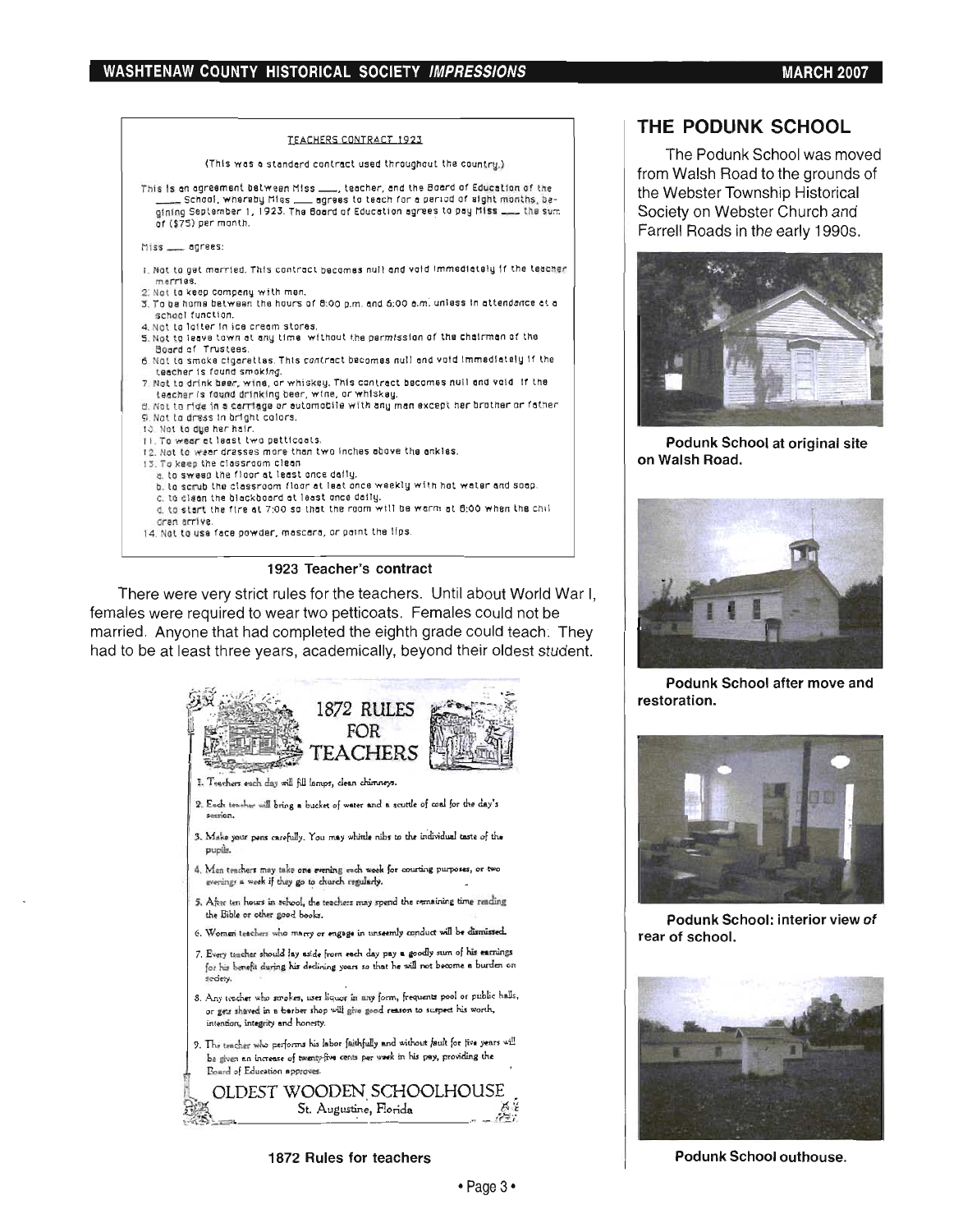

### 1923 Teacher's contract

There were very strict rules for the teachers. Until about World War I, females were required to wear two petticoats. Females could not be married. Anyone that had completed the eighth grade could teach: They had to be at least three years, academically, beyond their oldest student.



1872 Rules for teachers

### THE PODUNK SCHOOL

The Podunk School was moved from Walsh Road to the grounds of the Webster Township Historical Society on Webster Church and Farrell Roads in the early 1990s.



Podunk School at original site on Walsh Road.



Podunk School after move and restoration.



Podunk School: interior view of rear of school.



Podunk School outhouse.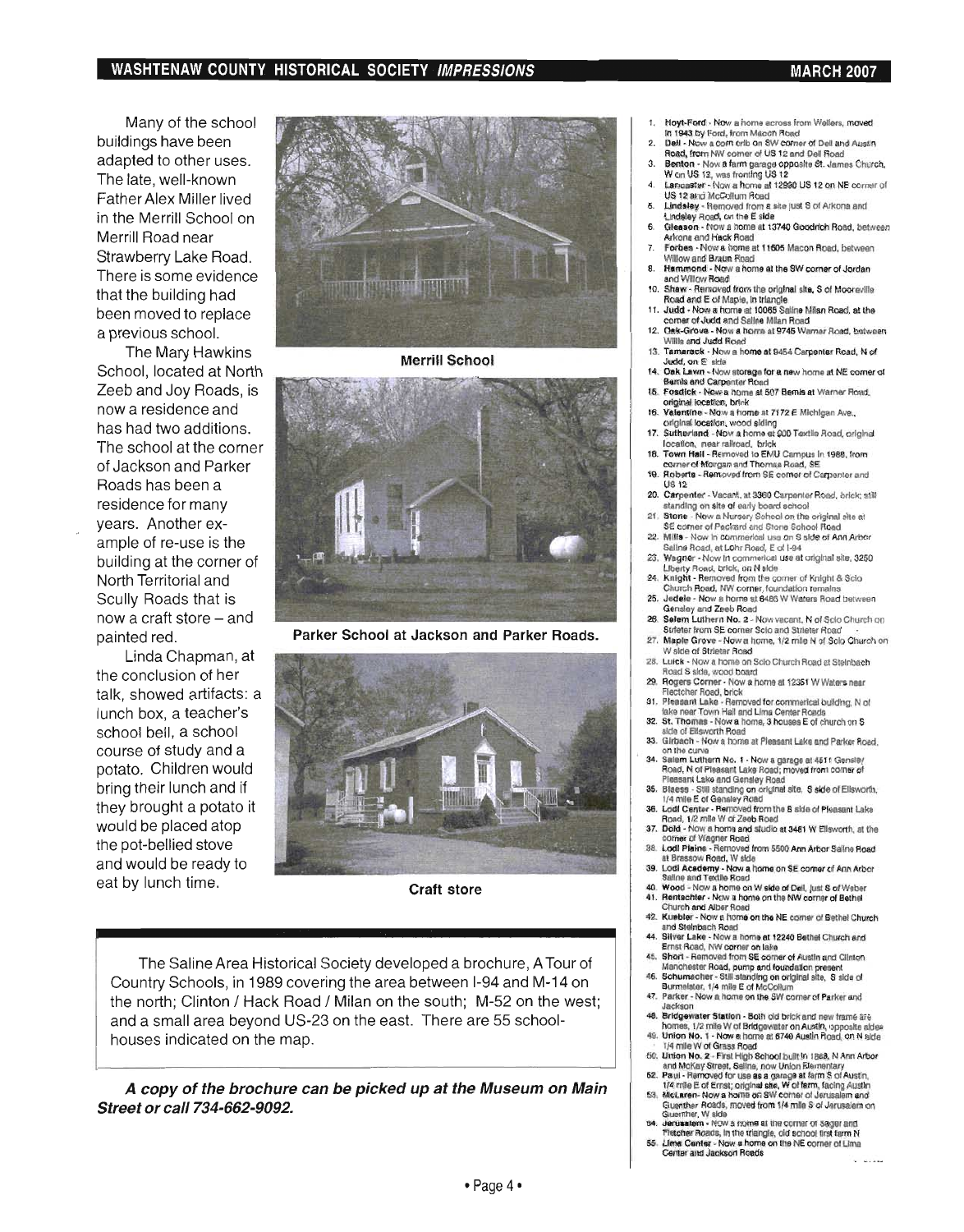### WASHTENAW COUNTY HISTORICAL SOCIETY IMPRESSIONS MARCH 2007

Many of the school buildings have been adapted to other uses. The late, well-known Father Alex Miller lived in the Merrill School on Merrill Road near Strawberry Lake Road. There is some evidence that the building had been moved to replace a previous school.

The Mary Hawkins School, located at North Zeeb and Joy Roads, is now a residence and has had two additions. The school at the corner of Jackson and Parker Roads has been a residence for many years. Another example of re-use is the building at the corner of North Territorial and Scully Roads that is now a craft store  $-$  and painted red.

Linda Chapman, at the conclusion of her talk, showed artifacts: a lunch box, a teacher's school bell, a school course of study and a potato. Children would bring their lunch and if they brought a potato it would be placed atop the pot-bellied stove and would be ready to eat by lunch time.



**Merrill School** 



Parker School at Jackson and Parker Roads.



Craft store

The Saline Area Historical Society developed a brochure, A Tour of Country Schools, in 1989 covering the area between 1-94 and M-14 on the north; Clinton / Hack Road / Milan on the south; M-52 on the west; and a small area beyond US-23 on the east. There are 55 schoolhouses indicated on the map.

A copy of the brochure can be picked up at the Museum on Main Street or call 734-662-9092.

- Hoyt-Ford Now a home across from Wellers, moved In 1943 by Ford, from Macon Road
- 2. Dell Now a corn crib on SW corner of Dell and Austin Road, from NW corner of US 12 and Dell Road
- 3. Benton Now a farm garage opposite St. James Church. W on US 12, was fronting US 12
- Lancaster Now a home at 12990 US 12 on NE corner of US 12 and McCollum Road
- 6. Lindsley Removed from a site just S of Arkona and Undaley Road, on the E side
- 6. Gleason Now a home at 13740 Goodrich Road, between Arkona and Hack Road
- 7. Forbes Now a home at 11605 Macon Road, between W11low and Braun Road 8. Hammond - Now a home at the SW corner of Jordan
- and Willow Road
- 10. Shaw Removed from the original site, S of Mooreville<br>Road and E of Maple, in triangle<br>11. Judd Now a home at 10065 Saline Milan Road, at the 11. Judd - Now a horne at *10065* SaUne Milan Rood. at the
- corner of Judd and Saline Milan Road
- 12. Oak-Grove Now a home at 9745 Warner Road, between<br>Willis and Judd Road 13. Tamarack - Now a home at 9454 Carpenter Road. N of
- Judd, on  $E$  side 14. Oak Lawn - Now storage for a new home at NE corner of
- Bemis and Carpenter Road 15. Fosdick - Now a home at 507 Bemis at Warner Road.
- onglnal locatIOn, brick 16. Valentine - Now a home at 7172 E Michigan Ave.,
- original location, wood siding 17. Sutherland - Now a home at 900 Textile Road, original
- location. near railroad. brick
- 18. Town Hall Removed to EMU Campus In 1988. from corner of Morgan and Thornas Road, SE 19. Roberts - Removed from SE comer 01 Carpenter and
- US<sub>12</sub> 20. Carpenter - Vacant, at 3360 Carpenter Road, brick; stlf
- standing on site of early board school
- 21. Stone Now a Nursery School on the original site at<br>56 corner of Packard and Stone School Road 22. Mills - Now In commerical use on S side of Ann Arbor
- Salina Road, at Lohr Road. E of 1-94 23. Wagner - Now In commerical use at original site, 3250
- Uberty Rood. brick. On N side
- 24. Knight Removed Irom the corner of Knight & Scio<br>Church Road, NW corner, foundation remains
- 25. Jedele Now a home at 6486 W Waters Road between<br>Gensley and Zeeb Road
- 26. Selem Luthern No. 2 Now vacant. N of Sclo Church on Strleter from SE corner Sclo and Strleter Road
- 27. Maple Grove Now a home, 1/2 mile N of Solo Church on<br>W side of Strieter Road
- 28. Luick Now a home on Sclo Church Road at Steinbach<br>Road S side, wood board 29. Rogers Corner - Now a home at 12351 W Waters near Flectcher Road, brick
- 31. Pleasant Lake Removed for commerical building, N of fake near Town Hall and Lima Center Roads
- 32. St. Thomas Now a home, 3 houses E of church on S
- side of Ellsworth Road<br>33. Girbach Now a home at Pleasant Lake and Parker Road.<br>on the curve
- 34. Salem Luthern No. 1 Now a garage at 4511 Gensley<br>Road, N of Pleasant Lake Road; moved from corner of Pleasant Lake and Gensley Road
- 35. Blaess Still standing on original site, S side of Elisworth. 1/4 mile E of Gensley Road
- 36. Lodi Center Removed from the S side of Pleasant Lake<br>Road, 1/2 mlle W of Zeeb Road
- 37. Dold Now a horne and studio at 3481 W Ellsworth, at the corner of Wagner Road
- 38. Lodl Plaina Removed from 5500 Ann Arbor Saline Road<br>at Brassow Road, W side<br>39. Lodi Acedemy Now a home on SE corner of Ann Arbor
- Lodi Academy Now a home on SE corner of Ann Arbor<br>Saline and Textile Road Wood - Now a home on W side of Dell, just S of Weber
- 41. Rentschler Now a home on the NW corner of Bethal
- Church and Alber Road<br>42. Kuebler Now a home on the NE comer of Bethel Church and Steinbach Road
- 44. Silver Lake Now a home at 12240 Bethel Church and Ernst Road, NW corner on lake<br>45. Short - Removed from SE corner of Austin and Clinton
- 45. Short Removed from SE comer of Austin and Clinton Manchester Road, pump and foundation present 46. Schumnesher Still standing on original site, S side of Burmelster, 1/4 mile E of McCollum
- 47. Parker Now a home on the SW corner of Parker and
- Jackson<br>Bridgewater Station Both old brick and new frame are
- 46. Bridgewater Station Both old brick and new trame are<br>homes, 1/2 mile W of Bridgewater on Austin, opposite sides<br>49. Union No. 1 Now a home at 6740 Austin Road, on N side
- 1/4 mile W of Grass Road 50. Union No. 2 - First High School built in 1868, N Ann Arbor
- and McKay Street, Saline, now Union Elementary
- 52. Paul Removed for use as a garage at farm S of Austin, 1/4 mile E of Ernst; original she, W of farm, facing Austin 53. McLaren- Now a home on SW comer of Jerusalem and<br>Guenther Roads, moved from 1/4 mile S of Jerusalem on<br>Guenther, W side.
- 154. Guenther, W side<br>154. denusatem Now a nome at the comer of Sager and<br>154. Fletcher Roads, in the triangle, old school first farm N
- 55. Lime Center Now a home on the NE corner of Lima<br>Center and Jackson Reads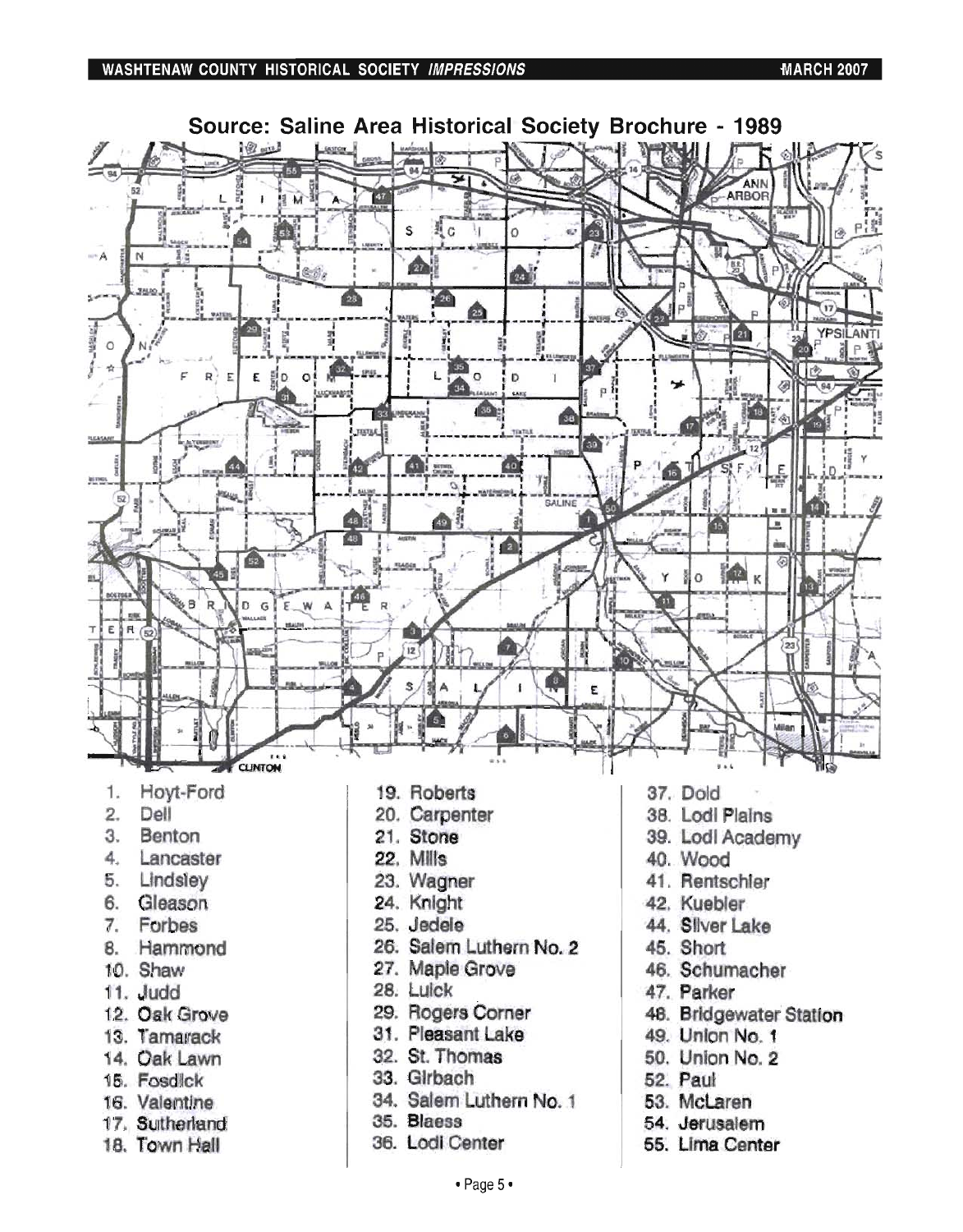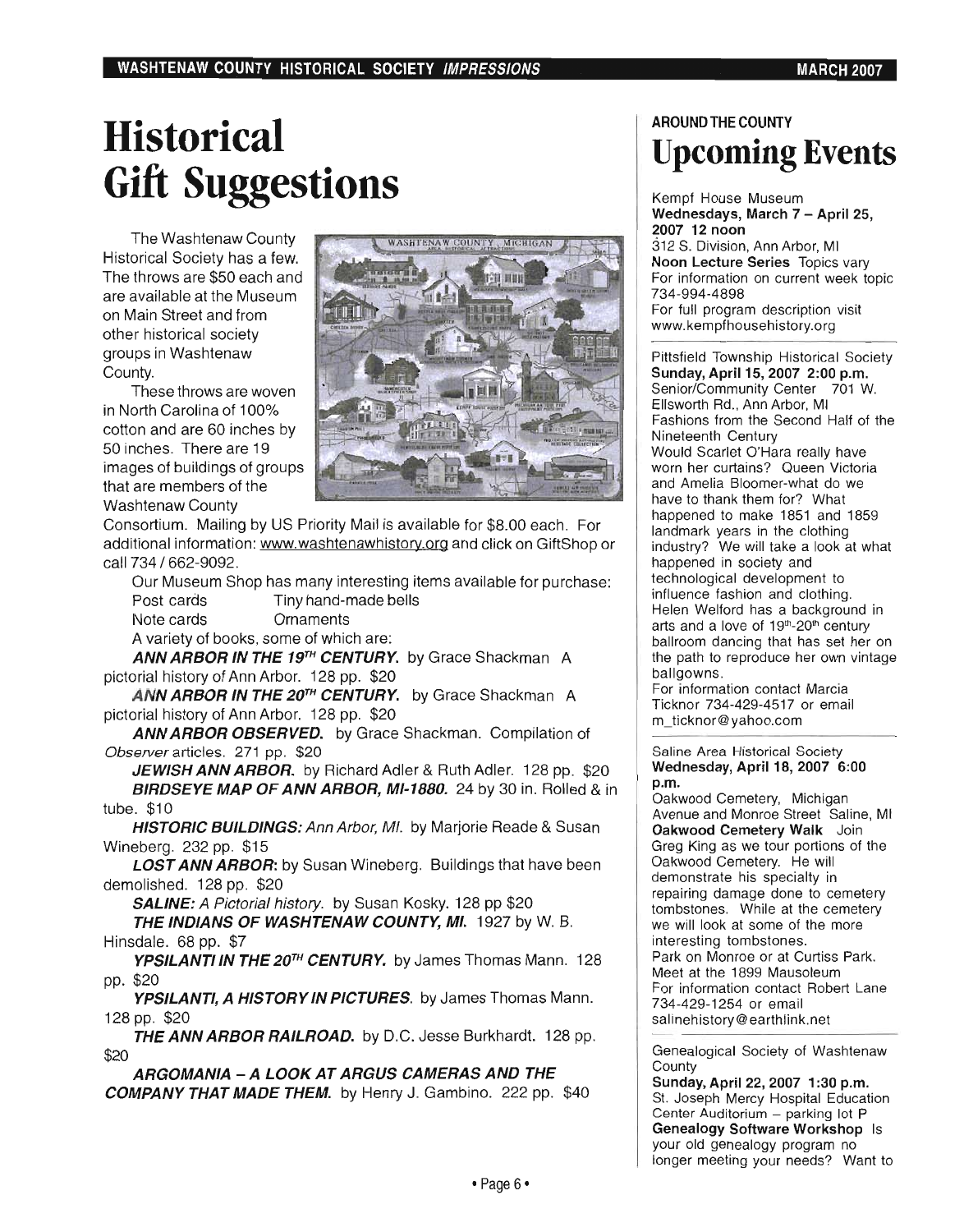# **Historical Gift Suggestions**

The Washtenaw County Historical Society has a few. The throws are \$50 each and are available at the Museum on Main Street and from other historical society groups in Washtenaw County.

These throws are woven in North Carolina of 100% cotton and are 60 inches by 50 inches. There are 19 images of buildings of groups that are members of the Washtenaw County



Consortium. Mailing by US Priority Mail is available for \$8.00 each . For additional information: www.washtenawhistory.org and click on GiftShop or call 734 / 662-9092.

Our Museum Shop has many interesting items available for purchase: Post cards Tiny hand-made bells Note cards Ornaments A variety of books, some of which are:

ANN ARBOR IN THE 19<sup>TH</sup> CENTURY. by Grace Shackman A pictorial history of Ann Arbor. 128 pp. \$20

ANN ARBOR IN THE 20<sup>TH</sup> CENTURY. by Grace Shackman A pictorial history of Ann Arbor. 128 pp. \$20

ANN ARBOR OBSERVED. by Grace Shackman. Compilation of Observer articles. 271 pp. \$20

JEWISH ANN ARBOR. by Richard Adler & Ruth Adler. 128 pp. \$20 BIRDSEYE MAP OF ANN ARBOR, MI-1880, 24 by 30 in. Rolled & in tube. \$10

HISTORIC BUILDINGS: Ann Arbor, MI. by Marjorie Reade & Susan Wineberg. 232 pp. \$15

**LOST ANN ARBOR:** by Susan Wineberg. Buildings that have been demolished. 128 pp. \$20

SALINE: A Pictorial history. by Susan Kosky. 128 pp \$20

THE INDIANS OF WASHTENAW COUNTY, MI. 1927 by W. B. Hinsdale. 68 pp. \$7

YPSILANTI IN THE 20<sup>TH</sup> CENTURY. by James Thomas Mann. 128 pp. \$20

YPSILANTI, A HISTORY IN PICTURES. by James Thomas Mann. 128 pp. \$20

THE ANN ARBOR RAILROAD. by D.C. Jesse Burkhardt. 128 pp. \$20

ARGOMANIA - A LOOK AT ARGUS CAMERAS AND THE COMPANY THAT MADE THEM. by Henry J. Gambino. 222 pp. \$40

### AROUND THE COUNTY **Upcoming Events**

Kempf House Museum Wednesdays, March 7 - April 25, 2007 12 noon 312 S. Division, Ann Arbor, MI Noon Lecture Series Topics vary For information on current week topic 734-994-4898 For full program description visit www.kempfhousehistory.org

Pittsfield Township Historical Society Sunday, April 15, 2007 2:00 p.m. Senior/Community Center 701 W. Ellsworth Rd., Ann Arbor, MI Fashions from the Second Half of the Nineteenth Century Would Scarlet O'Hara really have worn her curtains? Queen Victoria and Amelia Bloomer-what do we have to thank them for? What happened to make 1851 and 1859 landmark years in the clothing industry? We will take a look at what happened in society and technological development to influence fashion and clothing. Helen Welford has a background in arts and a love of 19th-20th century ballroom dancing that has set her on the path to reproduce her own vintage ballgowns.

For information contact Marcia Ticknor 734-429-4517 or email m\_ticknor@yahoo.com

### Saline Area Historical Society Wednesday, April 18, 2007 6:00 p.m.

Oakwood Cemetery, Michigan Avenue and Monroe Street Saline, MI Oakwood Cemetery Walk Join Greg King as we tour portions of the Oakwood Cemetery. He will demonstrate his specialty in repairing damage done to cemetery tombstones. While at the cemetery we will look at some of the more interesting tombstones. Park on Monroe or at Curtiss Park. Meet at the 1899 Mausoleum For information contact Robert Lane 734-429-1254 or email salinehistory@earthlink.net

Genealogical Society of Washtenaw **County** 

Sunday, April 22, 2007 1:30 p.m. St. Joseph Mercy Hospital Education Center Auditorium - parking lot P Genealogy Software Workshop Is your old genealogy program no longer meeting your needs? Want to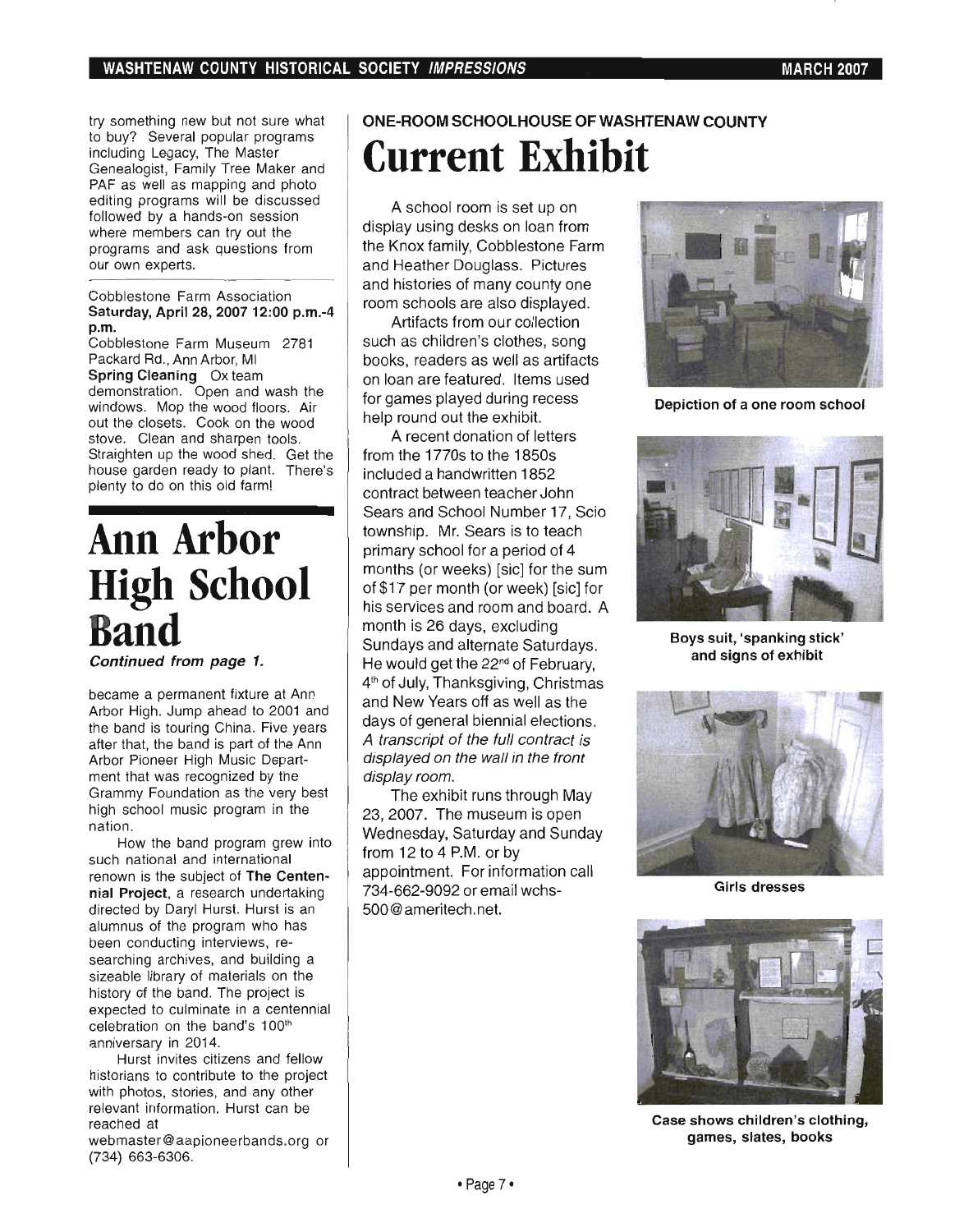try something new but not sure what to buy? Several popular programs including Legacy, The Master Genealogist, Family Tree Maker and PAF as well as mapping and photo editing programs will be discussed followed by a hands-on session where members can try out the programs and ask questions from our own experts.

#### Cobblestone Farm Association Saturday, April 28, 2007 12:00 p.m.-4 p.m.

Cobblestone Farm Museum 2781 Packard Rd., Ann Arbor, MI Spring Cleaning Ox team demonstration. Open and wash the windows. Mop the wood floors. Air out the closets. Cook on the wood stove. Clean and sharpen tools. Straighten up the wood shed. Get the house garden ready to plant. There's plenty to do on this old farm!

## **Ann Arbor High School Band**

Continued from page 1.

became a permanent fixture at Ann Arbor High. Jump ahead to 2001 and the band is touring China. Five years after that, the band is part of the Ann Arbor Pioneer High Music Department that was recognized by the Grammy Foundation as the very best high school music program in the nation.

How the band program grew into such national and international renown is the subject of The Centennial Project, a research undertaking directed by Daryl Hurst. Hurst is an alumnus of the program who has been conducting interviews, researching archives, and building a sizeable library of materials on the history of the band. The project is expected to culminate in a centennial celebration on the band's 100<sup>th</sup> anniversary in 2014.

Hurst invites citizens and fellow historians to contribute to the project with photos, stories, and any other relevant information. Hurst can be reached at

webmaster@aapioneerbands.org or (734) 663-6306.

### **ONE-ROOM SCHOOLHOUSE OF WASHTENAW COUNTY Current Exhibit**

A school room is set up on display using desks on loan from the Knox family, Cobblestone Farm and Heather Douglass. Pictures and histories of many county one room schools are also displayed.

Artifacts from our collection such as children's clothes, song books, readers as well as artifacts on loan are featured. Items used for games played during recess help round out the exhibit.

A recent donation of letters from the 1770s to the 1850s included a handwritten 1852 contract between teacher John Sears and School Number 17, Scio township. Mr. Sears is to teach primary school for a period of 4 months (or weeks) [sic] for the sum of \$17 per month (or week) [sic] for his services and room and board. A month is 26 days, excluding Sundays and alternate Saturdays. He would get the 22<sup>nd</sup> of February, 4<sup>th</sup> of July, Thanksgiving, Christmas and New Years off as well as the days of general biennial elections. A transcript of the full contract is displayed on the wall in the front display room.

The exhibit runs through May 23,2007. The museum is open Wednesday, Saturday and Sunday from 12 to 4 P.M. or by appointment. For information call 734-662-9092 or email wchs-500@ ameritech .net.



Depiction of a one room school



Boys SUit, 'spanking stick' and signs of exhibit



Girls dresses



Case shows children's clothing, games, slates, books